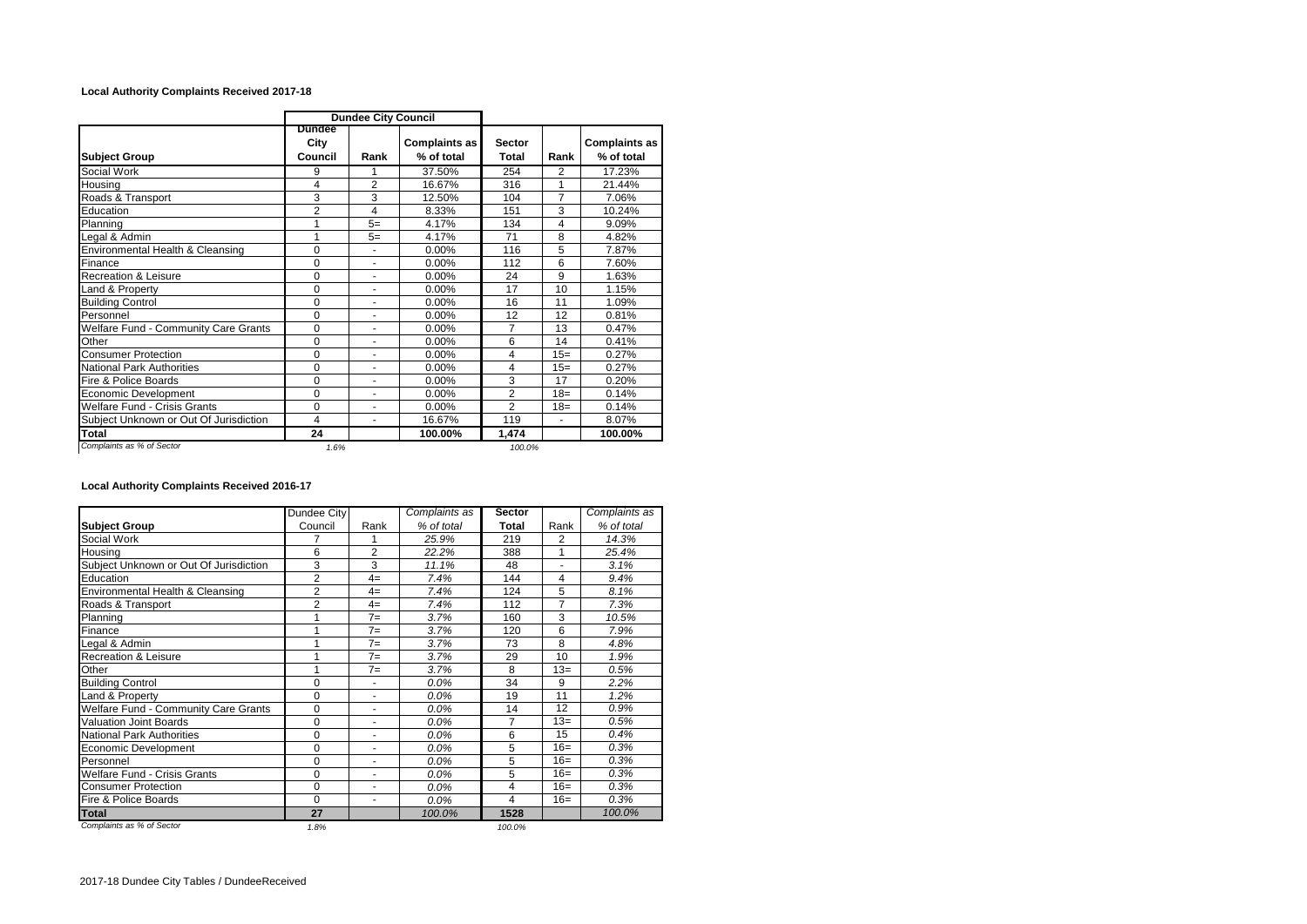## **Local Authority Complaints Received 2017-18**

|                                        | <b>Dundee City Council</b> |                          |                                    |                        |       |                                    |
|----------------------------------------|----------------------------|--------------------------|------------------------------------|------------------------|-------|------------------------------------|
| <b>Subject Group</b>                   | Dundee<br>City<br>Council  | Rank                     | <b>Complaints as</b><br>% of total | <b>Sector</b><br>Total | Rank  | <b>Complaints as</b><br>% of total |
| Social Work                            | 9                          | 1                        | 37.50%                             | 254                    | 2     | 17.23%                             |
| Housing                                | 4                          | 2                        | 16.67%                             | 316                    | 1     | 21.44%                             |
| Roads & Transport                      | 3                          | 3                        | 12.50%                             | 104                    | 7     | 7.06%                              |
| Education                              | $\overline{2}$             | 4                        | 8.33%                              | 151                    | 3     | 10.24%                             |
| Planning                               |                            | $5=$                     | 4.17%                              | 134                    | 4     | 9.09%                              |
| Legal & Admin                          | 1                          | $5=$                     | 4.17%                              | 71                     | 8     | 4.82%                              |
| Environmental Health & Cleansing       | 0                          | $\blacksquare$           | 0.00%                              | 116                    | 5     | 7.87%                              |
| Finance                                | 0                          | $\overline{\phantom{a}}$ | 0.00%                              | 112                    | 6     | 7.60%                              |
| <b>Recreation &amp; Leisure</b>        | 0                          | ۰                        | $0.00\%$                           | 24                     | 9     | 1.63%                              |
| Land & Property                        | $\Omega$                   | ٠                        | 0.00%                              | 17                     | 10    | 1.15%                              |
| <b>Building Control</b>                | $\Omega$                   | ٠                        | 0.00%                              | 16                     | 11    | 1.09%                              |
| Personnel                              | $\Omega$                   | ٠                        | 0.00%                              | 12                     | 12    | 0.81%                              |
| Welfare Fund - Community Care Grants   | $\mathbf 0$                | ٠                        | 0.00%                              | $\overline{7}$         | 13    | 0.47%                              |
| Other                                  | $\Omega$                   | ۰                        | $0.00\%$                           | 6                      | 14    | 0.41%                              |
| <b>Consumer Protection</b>             | 0                          | ۰                        | 0.00%                              | 4                      | $15=$ | 0.27%                              |
| <b>National Park Authorities</b>       | $\Omega$                   |                          | 0.00%                              | 4                      | $15=$ | 0.27%                              |
| Fire & Police Boards                   | $\Omega$                   | ä,                       | $0.00\%$                           | 3                      | 17    | 0.20%                              |
| <b>Economic Development</b>            | $\mathbf 0$                | $\blacksquare$           | $0.00\%$                           | $\overline{2}$         | $18=$ | 0.14%                              |
| <b>Welfare Fund - Crisis Grants</b>    | $\Omega$                   | ٠                        | 0.00%                              | $\overline{2}$         | $18=$ | 0.14%                              |
| Subject Unknown or Out Of Jurisdiction | 4                          | ۰                        | 16.67%                             | 119                    | ٠     | 8.07%                              |
| <b>Total</b>                           | 24                         |                          | 100.00%                            | 1,474                  |       | 100.00%                            |
| Complaints as % of Sector              | 1.6%                       |                          |                                    | 100.0%                 |       |                                    |

**Local Authority Complaints Received 2016-17**

|                                             | Dundee City    |                | Complaints as | <b>Sector</b> |       | Complaints as |
|---------------------------------------------|----------------|----------------|---------------|---------------|-------|---------------|
| <b>Subject Group</b>                        | Council        | Rank           | % of total    | Total         | Rank  | % of total    |
| Social Work                                 | 7              | 1              | 25.9%         | 219           | 2     | 14.3%         |
| Housina                                     | 6              | $\overline{2}$ | 22.2%         | 388           | 1     | 25.4%         |
| Subject Unknown or Out Of Jurisdiction      | 3              | 3              | 11.1%         | 48            | ä,    | 3.1%          |
| Education                                   | $\overline{2}$ | $4=$           | 7.4%          | 144           | 4     | 9.4%          |
| Environmental Health & Cleansing            | $\overline{2}$ | $4=$           | 7.4%          | 124           | 5     | 8.1%          |
| Roads & Transport                           | $\overline{2}$ | $4=$           | 7.4%          | 112           | 7     | 7.3%          |
| Planning                                    | 1              | $7 =$          | 3.7%          | 160           | 3     | 10.5%         |
| Finance                                     | 1              | $7=$           | 3.7%          | 120           | 6     | 7.9%          |
| Legal & Admin                               | 1              | $7=$           | 3.7%          | 73            | 8     | 4.8%          |
| <b>Recreation &amp; Leisure</b>             | 1              | $7=$           | 3.7%          | 29            | 10    | 1.9%          |
| Other                                       | 1              | $7 =$          | 3.7%          | 8             | $13=$ | 0.5%          |
| <b>Building Control</b>                     | 0              |                | 0.0%          | 34            | 9     | 2.2%          |
| Land & Property                             | $\Omega$       | -              | $0.0\%$       | 19            | 11    | 1.2%          |
| <b>Welfare Fund - Community Care Grants</b> | 0              | ٠              | $0.0\%$       | 14            | 12    | 0.9%          |
| Valuation Joint Boards                      | $\Omega$       |                | 0.0%          | 7             | $13=$ | 0.5%          |
| <b>National Park Authorities</b>            | 0              |                | 0.0%          | 6             | 15    | 0.4%          |
| Economic Development                        | $\Omega$       | ٠              | $0.0\%$       | 5             | $16=$ | 0.3%          |
| Personnel                                   | $\mathbf 0$    | ٠              | 0.0%          | 5             | $16=$ | 0.3%          |
| <b>Welfare Fund - Crisis Grants</b>         | 0              | ٠              | 0.0%          | 5             | $16=$ | 0.3%          |
| <b>Consumer Protection</b>                  | 0              | ۰              | 0.0%          | 4             | $16=$ | 0.3%          |
| Fire & Police Boards                        | $\Omega$       | ٠              | 0.0%          | 4             | $16=$ | 0.3%          |
| <b>Total</b>                                | 27             |                | 100.0%        | 1528          |       | 100.0%        |
| Complaints as % of Sector                   | 1.8%           |                |               | 100.0%        |       |               |